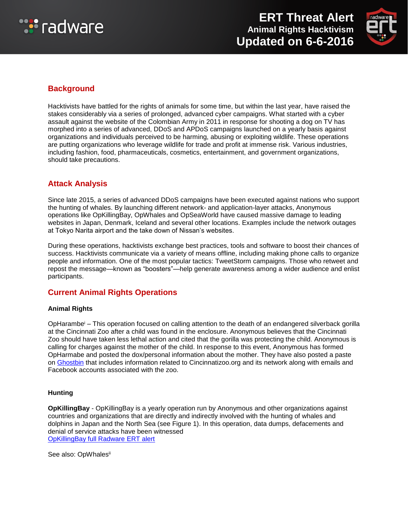



# **Background**

Hacktivists have battled for the rights of animals for some time, but within the last year, have raised the stakes considerably via a series of prolonged, advanced cyber campaigns. What started with a cyber assault against the website of the Colombian Army in 2011 in response for shooting a dog on TV has morphed into a series of advanced, DDoS and APDoS campaigns launched on a yearly basis against organizations and individuals perceived to be harming, abusing or exploiting wildlife. These operations are putting organizations who leverage wildlife for trade and profit at immense risk. Various industries, including fashion, food, pharmaceuticals, cosmetics, entertainment, and government organizations, should take precautions.

# **Attack Analysis**

Since late 2015, a series of advanced DDoS campaigns have been executed against nations who support the hunting of whales. By launching different network- and application-layer attacks, Anonymous operations like OpKillingBay, OpWhales and OpSeaWorld have caused massive damage to leading websites in Japan, Denmark, Iceland and several other locations. Examples include the network outages at Tokyo Narita airport and the take down of Nissan's websites.

During these operations, hacktivists exchange best practices, tools and software to boost their chances of success. Hacktivists communicate via a variety of means offline, including making phone calls to organize people and information. One of the most popular tactics: TweetStorm campaigns. Those who retweet and repost the message—known as "boosters"—help generate awareness among a wider audience and enlist participants.

## **Current Animal Rights Operations**

#### **Animal Rights**

OpHarambe<sup>i</sup> – This operation focused on calling attention to the death of an endangered silverback gorilla at the Cincinnati Zoo after a child was found in the enclosure. Anonymous believes that the Cincinnati Zoo should have taken less lethal action and cited that the gorilla was protecting the child. Anonymous is calling for charges against the mother of the child. In response to this event, Anonymous has formed OpHarmabe and posted the dox/personal information about the mother. They have also posted a paste on [Ghostbin](https://ghostbin.com/paste/4tbwo) that includes information related to Cincinnatizoo.org and its network along with emails and Facebook accounts associated with the zoo.

#### **Hunting**

**OpKillingBay** - OpKillingBay is a yearly operation run by Anonymous and other organizations against countries and organizations that are directly and indirectly involved with the hunting of whales and dolphins in Japan and the North Sea (see Figure 1). In this operation, data dumps, defacements and denial of service attacks have been witnessed [OpKillingBay full Radware ERT alert](https://security.radware.com/ddos-threats-attacks/threat-advisories-attack-reports/opkillingbay-update-february-2016/)

See also: OpWhalesii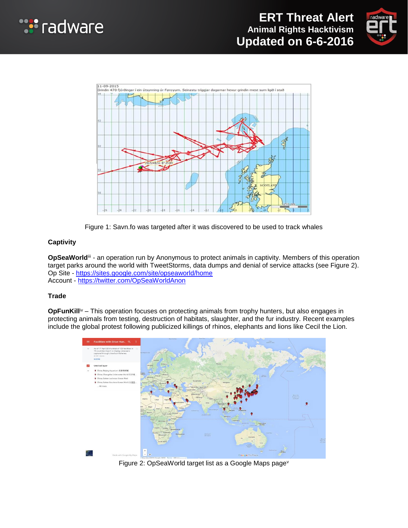







#### **Captivity**

**OpSeaWorld**<sup>iii</sup> - an operation run by Anonymous to protect animals in captivity. Members of this operation target parks around the world with TweetStorms, data dumps and denial of service attacks (see Figure 2). Op Site - <https://sites.google.com/site/opseaworld/home> Account - <https://twitter.com/OpSeaWorldAnon>

#### **Trade**

**OpFunKill<sup>iv</sup>** – This operation focuses on protecting animals from trophy hunters, but also engages in protecting animals from testing, destruction of habitats, slaughter, and the fur industry. Recent examples include the global protest following publicized killings of rhinos, elephants and lions like Cecil the Lion.



Figure 2: OpSeaWorld target list as a Google Maps pagev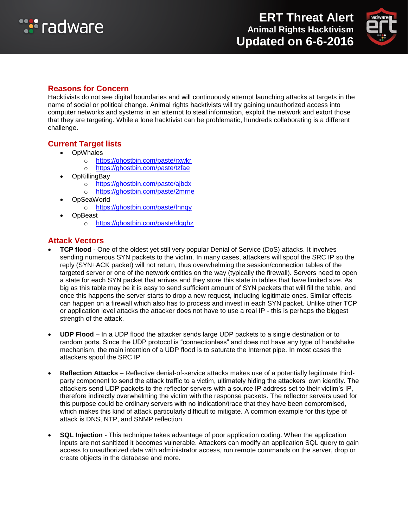



### **Reasons for Concern**

Hacktivists do not see digital boundaries and will continuously attempt launching attacks at targets in the name of social or political change. Animal rights hacktivists will try gaining unauthorized access into computer networks and systems in an attempt to steal information, exploit the network and extort those that they are targeting. While a lone hacktivist can be problematic, hundreds collaborating is a different challenge.

### **Current Target lists**

- OpWhales
	- o <https://ghostbin.com/paste/rxwkr>
	- o <https://ghostbin.com/paste/tzfae>
- **OpKillingBay** 
	- o <https://ghostbin.com/paste/ajbdx>
	- o <https://ghostbin.com/paste/2mrne>
- OpSeaWorld
	- o <https://ghostbin.com/paste/fnnqy>
- **OpBeast** 
	- o <https://ghostbin.com/paste/dgqhz>

### **Attack Vectors**

- **TCP flood** One of the oldest yet still very popular Denial of Service (DoS) attacks. It involves sending numerous SYN packets to the victim. In many cases, attackers will spoof the SRC IP so the reply (SYN+ACK packet) will not return, thus overwhelming the session/connection tables of the targeted server or one of the network entities on the way (typically the firewall). Servers need to open a state for each SYN packet that arrives and they store this state in tables that have limited size. As big as this table may be it is easy to send sufficient amount of SYN packets that will fill the table, and once this happens the server starts to drop a new request, including legitimate ones. Similar effects can happen on a firewall which also has to process and invest in each SYN packet. Unlike other TCP or application level attacks the attacker does not have to use a real IP - this is perhaps the biggest strength of the attack.
- **UDP Flood** In a UDP flood the attacker sends large UDP packets to a single destination or to random ports. Since the UDP protocol is "connectionless" and does not have any type of handshake mechanism, the main intention of a UDP flood is to saturate the Internet pipe. In most cases the attackers spoof the SRC IP
- **Reflection Attacks** Reflective denial-of-service attacks makes use of a potentially legitimate thirdparty component to send the attack traffic to a victim, ultimately hiding the attackers' own identity. The attackers send UDP packets to the reflector servers with a source IP address set to their victim's IP, therefore indirectly overwhelming the victim with the response packets. The reflector servers used for this purpose could be ordinary servers with no indication/trace that they have been compromised, which makes this kind of attack particularly difficult to mitigate. A common example for this type of attack is DNS, NTP, and SNMP reflection.
- **SQL Injection** This technique takes advantage of poor application coding. When the application inputs are not sanitized it becomes vulnerable. Attackers can modify an application SQL query to gain access to unauthorized data with administrator access, run remote commands on the server, drop or create objects in the database and more.